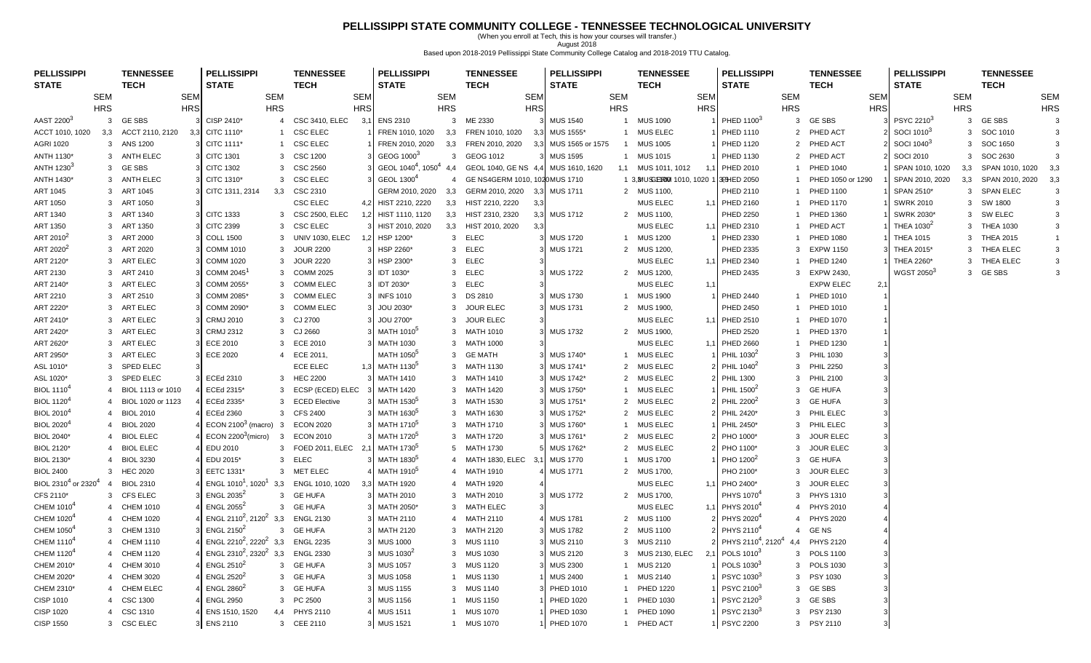### **PELLISSIPPI STATE COMMUNITY COLLEGE - TENNESSEE TECHNOLOGICAL UNIVERSITY**

(When you enroll at Tech, this is how your courses will transfer.) August 2018 Based upon 2018-2019 Pellissippi State Community College Catalog and 2018-2019 TTU Catalog.

| <b>STATE</b><br><b>STATE</b><br><b>STATE</b><br><b>STATE</b><br><b>TECH</b><br><b>TECH</b><br><b>STATE</b><br><b>TECH</b><br><b>TECH</b><br><b>TECH</b><br><b>STATE</b><br><b>TECH</b><br><b>SEM</b><br><b>SEM</b><br><b>SEM</b><br><b>SEM</b><br><b>SEM</b><br><b>SEM</b><br><b>SEM</b><br><b>SEM</b><br><b>SEM</b><br><b>SEM</b><br><b>SEM</b><br><b>SEM</b><br><b>HRS</b><br><b>HRS</b><br><b>HRS</b><br><b>HRS</b><br><b>HRS</b><br><b>HRS</b><br><b>HRS</b><br><b>HRS</b><br><b>HRS</b><br><b>HRS</b><br><b>HRS</b><br><b>HRS</b><br><b>GE SBS</b><br>PSYC 22103<br><b>GE SBS</b><br>AAST 2200 <sup>3</sup><br>3 GESBS<br>CISP 2410*<br><b>CSC 3410, ELEC</b><br><b>ENS 2310</b><br>$\mathbf{3}$<br>ME 2330<br><b>MUS 1540</b><br><b>MUS 1090</b><br>PHED 1100 <sup>3</sup><br>$\overline{4}$<br>3,1<br>$\overline{1}$<br>3<br>$\mathbf{3}$<br>3<br>-31<br>ACCT 2110, 2120<br>CITC 1110*<br>CSC ELEC<br>MUS 1555*<br>1 MUS ELEC<br>PHED ACT<br>SOCI 1010 <sup>3</sup><br>SOC 1010<br>ACCT 1010, 1020<br>3.3<br>FREN 1010, 1020<br>3.3<br>FREN 1010, 1020<br>3.3<br><b>PHED 1110</b><br>2<br>3<br>3<br>3.3<br>$\mathbf{1}$<br>3 ANS 1200<br>CITC 1111*<br><b>CSC ELEC</b><br>FREN 2010, 2020<br>FREN 2010, 2020<br>MUS 1565 or 1575<br><b>MUS 1005</b><br>PHED 1120<br>PHED ACT<br>SOCI 1040 <sup>3</sup><br>SOC 1650<br><b>AGRI 1020</b><br>3,3<br>3,3<br>$\overline{1}$<br>2<br>3<br>$\mathbf{1}$<br>3<br>GEOG 1000 <sup>3</sup><br>3 ANTH ELEC<br><b>CITC 1301</b><br><b>CSC 1200</b><br>3 GEOG 1012<br><b>MUS 1595</b><br>1 MUS 1015<br>PHED 1130<br>PHED ACT<br><b>SOCI 2010</b><br>SOC 2630<br>ANTH 1130*<br>3<br>$\mathcal{B}$<br>$\mathbf{3}$<br>$\overline{2}$<br>3<br>3<br>GEOL 1040 <sup>4</sup> , 1050 <sup>4</sup><br>ANTH 1230 <sup>3</sup><br>3 GESBS<br><b>CITC 1302</b><br><b>CSC 2560</b><br>GEOL 1040, GE NS 4,4<br><b>PHED 2010</b><br>PHED 1040<br>3,3 SPAN 1010, 1020<br>3<br>4.4<br>MUS 1610, 1620<br>1,1 MUS 1011, 1012<br>SPAN 1010, 1020<br>1<br>GEOL 1300 <sup>4</sup><br>CITC 1310*<br><b>CSC ELEC</b><br>GE NS4GERM 1010, 1020MUS 1710<br>ANTH 1430*<br>ANTH ELEC<br>1 3, BY USS ERIC 1010, 1020<br>3PHED 2050<br>PHED 1050 or 1290<br>SPAN 2010, 2020<br>3,3<br>SPAN 2010, 2020<br>3,3<br>3<br>3<br>$\overline{3}$<br>$\overline{4}$<br>ART 1045<br>3 ART 1045<br>CITC 1311, 2314<br>3,3<br>CSC 2310<br>GERM 2010, 2020<br>3,3<br>GERM 2010, 2020<br><b>MUS 1711</b><br>2 MUS 1100,<br>PHED 2110<br><b>PHED 1100</b><br>SPAN 2510*<br>3 SPAN ELEC<br>3,3<br>$\mathbf{1}$<br>3<br><b>CSC ELEC</b><br>HIST 2210, 2220<br>HIST 2210, 2220<br><b>MUS ELEC</b><br>ART 1050<br>ART 1050<br>3,3<br><b>PHED 2160</b><br><b>PHED 1170</b><br><b>SWRK 2010</b><br>3 SW 1800<br>3<br>4,2<br>3,3<br>1,1<br>ART 1340<br><b>CITC 1333</b><br>3 CSC 2500, ELEC<br>3,3 HIST 2310, 2320<br><b>MUS 1712</b><br>2 MUS 1100,<br>PHED 2250<br>3 SW ELEC<br>3 ART 1340<br>HIST 1110, 1120<br><b>PHED 1360</b><br>SWRK 2030*<br>3,3<br>1<br><b>CSC ELEC</b><br>HIST 2010, 2020<br>THEA 1030 <sup>2</sup><br>ART 1350<br>ART 1350<br><b>CITC 2399</b><br>HIST 2010, 2020<br>3,3<br><b>MUS ELEC</b><br>PHED ACT<br>3 THEA 1030<br>3<br>3<br>3,3<br>1,1 PHED 2310<br>-3<br>ART 2010 <sup>2</sup><br>HSP 1200*<br>3 ELEC<br>3 ART 2000<br><b>COLL 1500</b><br>UNIV 1030, ELEC<br><b>MUS 1720</b><br>1 MUS 1200<br>PHED 2330<br><b>PHED 1080</b><br>3 THEA 2015<br>3<br><b>THEA 1015</b><br>$\mathbf{1}$<br>3<br>1<br>ART 2020 <sup>2</sup><br>3 ART 2020<br><b>COMM 1010</b><br>3<br><b>JOUR 2200</b><br>HSP 2260*<br>3 ELEC<br><b>MUS 1721</b><br>2 MUS 1200,<br>PHED 2335<br><b>EXPW 1150</b><br>THEA 2015*<br>3 THEA ELEC<br>3<br>$\mathcal{R}$<br>$\mathcal{A}$<br>3<br>ART 2120*<br>3 ART ELEC<br><b>COMM 1020</b><br><b>JOUR 2220</b><br>HSP 2300*<br>3 ELEC<br>MUS ELEC<br>1,1 PHED 2340<br><b>PHED 1240</b><br>THEA 2260*<br>3 THEA ELEC<br>3<br>3<br>$\overline{3}$<br>WGST 2050 <sup>3</sup><br>3 GESBS<br>3 ART 2410<br>COMM 2045<br><b>COMM 2025</b><br>3 IDT 1030*<br>3 ELEC<br><b>MUS 1722</b><br>2 MUS 1200,<br><b>PHED 2435</b><br>3 EXPW 2430,<br>3<br>ART 2130<br>3<br>3<br>ART ELEC<br>COMM 2055*<br><b>COMM ELEC</b><br>IDT 2030*<br><b>ELEC</b><br><b>MUS ELEC</b><br><b>EXPW ELEC</b><br>2,1<br>ART 2140*<br>3<br>3<br>3 <sup>1</sup><br>3<br>1,1<br>3 INFS 1010<br>ART 2210<br>3 ART 2510<br>COMM 2085*<br>3<br><b>COMM ELEC</b><br>3 DS 2810<br>$\mathbf{3}$<br><b>MUS 1730</b><br>1 MUS 1900<br><b>PHED 2440</b><br>1 PHED 1010<br>ART ELEC<br>COMM 2090*<br><b>COMM ELEC</b><br>JOU 2030*<br><b>JOUR ELEC</b><br><b>PHED 1010</b><br>ART 2220*<br>3<br>3<br><b>MUS 1731</b><br>2 MUS 1900,<br><b>PHED 2450</b><br>3<br>$\mathbf{3}$<br>3<br>1<br>ART 2410*<br>3 ART ELEC<br><b>CRMJ 2010</b><br>3 CJ 2700<br>3 JOUR ELEC<br><b>MUS ELEC</b><br>1 PHED 1070<br>JOU 2700*<br>1,1 PHED 2510<br>3<br>3<br><b>ART ELEC</b><br><b>CRMJ 2312</b><br>MATH 1010 <sup>5</sup><br>2 MUS 1900,<br>PHED 1370<br>ART 2420*<br>CJ 2660<br>MATH 1010<br><b>MUS 1732</b><br><b>PHED 2520</b><br>3<br>3<br>3<br>31<br>1<br><b>MATH 1030</b><br><b>MUS ELEC</b><br>ART 2620*<br>3 ART ELEC<br><b>ECE 2010</b><br><b>ECE 2010</b><br>3 MATH 1000<br>1,1 PHED 2660<br><b>PHED 1230</b><br>3<br>3<br>1<br>MATH 1050 <sup>5</sup><br>ART 2950*<br>ART ELEC<br><b>ECE 2020</b><br>4 ECE 2011,<br><b>GE MATH</b><br>3 MUS 1740*<br><b>MUS ELEC</b><br>PHIL 1030 <sup>2</sup><br><b>PHIL 1030</b><br>3<br>3<br>$\overline{1}$<br>3<br><b>ECE ELEC</b><br>1,3 MATH 1130 <sup>5</sup><br>PHIL 1040 <sup>2</sup><br>ASL 1010*<br><b>SPED ELEC</b><br>3 MATH 1130<br>3 MUS 1741*<br>2 MUS ELEC<br><b>PHIL 2250</b><br>3<br>3<br><b>SPED ELEC</b><br>3 HEC 2200<br><b>MATH 1410</b><br><b>MUS ELEC</b><br>ASL 1020*<br><b>ECEd 2310</b><br>3 MATH 1410<br>3 MUS 1742*<br>$\overline{2}$<br><b>PHIL 1300</b><br><b>PHIL 2100</b><br>3<br>3<br><b>BIOL 1110<sup>4</sup></b><br>PHIL 1500 <sup>2</sup><br>BIOL 1113 or 1010<br>ECEd 2315*<br>ECSP (ECED) ELEC<br><b>MATH 1420</b><br>3 MUS 1750*<br><b>MUS ELEC</b><br><b>GE HUFA</b><br>3<br>3<br>MATH 1420<br>$\mathbf{1}$<br>3<br>$\overline{4}$<br><b>BIOL 1120<sup>4</sup></b><br>BIOL 1020 or 1123<br>ECEd 2335*<br>3<br><b>ECED Elective</b><br>MATH 1530 <sup>5</sup><br>3 MATH 1530<br>3 MUS 1751*<br>2 MUS ELEC<br>PHIL 2200 <sup>2</sup><br><b>GE HUFA</b><br>$\overline{4}$<br>3<br>BIOL 2010 <sup>4</sup><br><b>BIOL 2010</b><br><b>ECEd 2360</b><br><b>CFS 2400</b><br>MATH 1630 <sup>5</sup><br>3 MATH 1630<br>3 MUS 1752*<br>$\overline{2}$<br><b>MUS ELEC</b><br>PHIL 2420*<br>PHIL ELEC<br>$\overline{4}$<br>3<br>3<br>ECON 2100 $3$ (macro) 3<br><b>BIOL 2020<sup>4</sup></b><br><b>BIOL 2020</b><br><b>ECON 2020</b><br>MATH 1710 <sup>5</sup><br>3 MATH 1710<br>3 MUS 1760*<br><b>MUS ELEC</b><br>PHIL 2450*<br>3 PHIL ELEC<br>$\mathbf{1}$<br>4<br>ECON $2200^3$ (micro)<br>MATH 1720 <sup>5</sup><br><b>JOUR ELEC</b><br><b>BIOL ELEC</b><br>$\overline{\mathbf{3}}$<br><b>ECON 2010</b><br><b>MATH 1720</b><br><b>MUS ELEC</b><br>PHO 1000*<br>BIOL 2040*<br>MUS 1761*<br>$\overline{2}$<br>$\overline{4}$<br>3<br>3<br>EDU 2010<br>MATH 1730 <sup>5</sup><br>2 MUS ELEC<br><b>JOUR ELEC</b><br><b>BIOL 2120*</b><br><b>BIOL ELEC</b><br>3 FOED 2011, ELEC<br>5 MATH 1730<br>MUS 1762*<br>PHO 1100*<br>3<br>4<br>2.7<br>EDU 2015*<br>3 ELEC<br>MATH 1830 <sup>5</sup><br><b>MUS 1770</b><br><b>MUS 1700</b><br>PHO 1200 <sup>2</sup><br><b>GE HUFA</b><br>BIOL 2130*<br><b>BIOL 3230</b><br>4 MATH 1830, ELEC<br>3.1<br>$\mathbf{1}$<br>3<br>4<br>EETC 1331*<br>3 MET ELEC<br>MATH 1910 <sup>5</sup><br><b>MUS 1771</b><br>PHO 2100*<br><b>JOUR ELEC</b><br><b>BIOL 2400</b><br>3 HEC 2020<br>4 MATH 1910<br>2 MUS 1700,<br>3<br>BIOL 2310 <sup>4</sup> or 2320 <sup>4</sup><br><b>BIOL 2310</b><br>ENGL 1010 <sup>1</sup> , 1020 <sup>1</sup><br>ENGL 1010, 1020<br><b>MATH 1920</b><br><b>MUS ELEC</b><br><b>JOUR ELEC</b><br>3,3<br>4 MATH 1920<br>1,1 PHO 2400*<br>3<br>$\overline{4}$<br>3.3<br>ENGL $2035^2$<br><b>CFS ELEC</b><br><b>MATH 2010</b><br>PHYS 1070 <sup>4</sup><br>PHYS 1310<br>CFS 2110*<br>3<br><b>GE HUFA</b><br>MATH 2010<br><b>MUS 1772</b><br>2 MUS 1700,<br>3<br>3<br>3<br>3<br>CHEM 1010 <sup>4</sup><br>ENGL 2055 $2$<br><b>MUS ELEC</b><br><b>CHEM 1010</b><br>3 GE HUFA<br>MATH 2050*<br>3 MATH ELEC<br>3<br>1,1 PHYS 2010<br><b>PHYS 2010</b><br>$\overline{4}$<br>4<br>ENGL 2110 <sup>2</sup> , 2120 <sup>2</sup> 3,3<br>CHEM 1020 <sup>4</sup><br><b>ENGL 2130</b><br>PHYS 2020 <sup>4</sup><br><b>CHEM 1020</b><br><b>MATH 2110</b><br>MATH 2110<br><b>MUS 1781</b><br>$\overline{2}$<br><b>MUS 1100</b><br><b>PHYS 2020</b><br>$\overline{4}$<br>$\overline{4}$<br>4<br>3<br>CHEM 1050 <sup>4</sup><br>ENGL 2150 $2$<br>PHYS 2110 <sup>4</sup><br>3 CHEM 1310<br>3<br><b>GE HUFA</b><br><b>MATH 2120</b><br>3 MATH 2120<br>3 MUS 1782<br>2 MUS 1100<br>$\Delta$<br>GE NS<br>ENGL 2210 <sup>2</sup> , 2220 <sup>2</sup><br>CHEM 1110 <sup>4</sup><br>3,3<br>PHYS 2110 <sup>4</sup> , 2120 <sup>4</sup><br><b>CHEM 1110</b><br><b>ENGL 2235</b><br><b>MUS 1000</b><br>3 MUS 1110<br><b>MUS 2110</b><br><b>PHYS 2120</b><br>3 MUS 2110<br>3<br>4<br>44<br>ENGL 2310 <sup>2</sup> , 2320 <sup>2</sup><br>CHEM 1120 <sup>4</sup><br>3,3<br><b>ENGL 2330</b><br>POLS 1010 <sup>3</sup><br><b>CHEM 1120</b><br>MUS 1030 <sup>2</sup><br><b>MUS 1030</b><br><b>MUS 2130, ELEC</b><br>3 POLS 1100<br>3<br><b>MUS 2120</b><br>3<br>4<br>ENGL $2510^2$<br>CHEM 2010*<br>CHEM 3010<br><b>GE HUFA</b><br><b>MUS 1057</b><br>3 MUS 1120<br><b>MUS 2300</b><br><b>MUS 2120</b><br>POLS 1030 <sup>3</sup><br><b>POLS 1030</b><br>3<br>$\overline{1}$<br>$\mathcal{R}$<br>4<br>$\mathcal{A}$<br>$\mathcal{A}$<br>ENGL 2520 <sup>2</sup><br>CHEM 2020*<br>CHEM 3020<br><b>GE HUFA</b><br><b>MUS 1058</b><br><b>MUS 1130</b><br><b>MUS 2400</b><br><b>MUS 2140</b><br>PSYC 1030 <sup>3</sup><br>PSY 1030<br>3<br>3<br>4<br>3<br>$\mathbf{1}$<br>$\overline{1}$<br>CHEM 2310*<br>CHEM ELEC<br>ENGL 2860 <sup>2</sup><br><b>GE HUFA</b><br><b>MUS 1155</b><br>3 MUS 1140<br><b>PHED 1220</b><br>PSYC 21003<br>3 GESBS<br>$\mathbf{3}$<br>PHED 1010<br>3.<br>3<br>$\mathbf{1}$<br>4<br><b>ENGL 2950</b><br>PC 2500<br><b>MUS 1156</b><br>PSYC 2120 <sup>3</sup><br><b>GE SBS</b><br>CISP 1010<br><b>CSC 1300</b><br><b>MUS 1150</b><br><b>PHED 1020</b><br>PHED 1030<br>$\overline{4}$<br>3<br>$\mathbf{3}$<br>$\mathbf{1}$<br>3<br>4 CSC 1310<br>PHED 1030<br>1 PHED 1090<br>3 PSY 2130 | <b>PELLISSIPPI</b> | <b>TENNESSEE</b> | <b>PELLISSIPPI</b> |     | <b>TENNESSEE</b> | <b>PELLISSIPPI</b> | <b>TENNESSEE</b> | <b>PELLISSIPPI</b> | <b>TENNESSEE</b> | <b>PELLISSIPPI</b>     | <b>TENNESSEE</b> | <b>PELLISSIPPI</b> | <b>TENNESSEE</b> |  |
|-------------------------------------------------------------------------------------------------------------------------------------------------------------------------------------------------------------------------------------------------------------------------------------------------------------------------------------------------------------------------------------------------------------------------------------------------------------------------------------------------------------------------------------------------------------------------------------------------------------------------------------------------------------------------------------------------------------------------------------------------------------------------------------------------------------------------------------------------------------------------------------------------------------------------------------------------------------------------------------------------------------------------------------------------------------------------------------------------------------------------------------------------------------------------------------------------------------------------------------------------------------------------------------------------------------------------------------------------------------------------------------------------------------------------------------------------------------------------------------------------------------------------------------------------------------------------------------------------------------------------------------------------------------------------------------------------------------------------------------------------------------------------------------------------------------------------------------------------------------------------------------------------------------------------------------------------------------------------------------------------------------------------------------------------------------------------------------------------------------------------------------------------------------------------------------------------------------------------------------------------------------------------------------------------------------------------------------------------------------------------------------------------------------------------------------------------------------------------------------------------------------------------------------------------------------------------------------------------------------------------------------------------------------------------------------------------------------------------------------------------------------------------------------------------------------------------------------------------------------------------------------------------------------------------------------------------------------------------------------------------------------------------------------------------------------------------------------------------------------------------------------------------------------------------------------------------------------------------------------------------------------------------------------------------------------------------------------------------------------------------------------------------------------------------------------------------------------------------------------------------------------------------------------------------------------------------------------------------------------------------------------------------------------------------------------------------------------------------------------------------------------------------------------------------------------------------------------------------------------------------------------------------------------------------------------------------------------------------------------------------------------------------------------------------------------------------------------------------------------------------------------------------------------------------------------------------------------------------------------------------------------------------------------------------------------------------------------------------------------------------------------------------------------------------------------------------------------------------------------------------------------------------------------------------------------------------------------------------------------------------------------------------------------------------------------------------------------------------------------------------------------------------------------------------------------------------------------------------------------------------------------------------------------------------------------------------------------------------------------------------------------------------------------------------------------------------------------------------------------------------------------------------------------------------------------------------------------------------------------------------------------------------------------------------------------------------------------------------------------------------------------------------------------------------------------------------------------------------------------------------------------------------------------------------------------------------------------------------------------------------------------------------------------------------------------------------------------------------------------------------------------------------------------------------------------------------------------------------------------------------------------------------------------------------------------------------------------------------------------------------------------------------------------------------------------------------------------------------------------------------------------------------------------------------------------------------------------------------------------------------------------------------------------------------------------------------------------------------------------------------------------------------------------------------------------------------------------------------------------------------------------------------------------------------------------------------------------------------------------------------------------------------------------------------------------------------------------------------------------------------------------------------------------------------------------------------------------------------------------------------------------------------------------------------------------------------------------------------------------------------------------------------------------------------------------------------------------------------------------------------------------------------------------------------------------------------------------------------------------------------------------------------------------------------------------------------------------------------------------------------------------------------------------------------------------------------------------------------------------------------------------------------------------------------------------------------------------------------------------------------------------------------------------------------------------------------------------------------------------------------------------------------------------------------------------------------------------------------------------------------------------------------------------------------------------------------------------------------------------------------------------------------------------------------------------------------------------------------------------------------------------------------------------------------------------------------------------------------------------------------------------------------------------------------------------------------------------------------------------------------------------------------------------------------------------------------------------------------------------------------------------------------------------------------------------------------------------------------------------------------------------------------------------------------------------------------------------------------------------------------------------------------------------------------------------------------------------------------------------------------------------------------------------------------------------------------------------------------------------------------------------------------------------------------------------------------------------------------------------------------------------------------------------------------------------------------------------------------------------------------------------------------------------------------------------------------------------------------------------------------------------------------------------------------------------------------------------------------------------------------------------------------------------------------------------------------------------------------------------------------------------------------------------------------------------------------------------------------------------------------------------------------------------------------------------------------------------------------------------------------------------------------------------------------------------------------------------------------------------------------------------------------------------------------------------------------------------------------------------------------------------------------------------------------------------------------------------------------------------------------------------------------------------------------------------------------------------------------------------------------------------------------------------------------------------------------------------------------------|--------------------|------------------|--------------------|-----|------------------|--------------------|------------------|--------------------|------------------|------------------------|------------------|--------------------|------------------|--|
|                                                                                                                                                                                                                                                                                                                                                                                                                                                                                                                                                                                                                                                                                                                                                                                                                                                                                                                                                                                                                                                                                                                                                                                                                                                                                                                                                                                                                                                                                                                                                                                                                                                                                                                                                                                                                                                                                                                                                                                                                                                                                                                                                                                                                                                                                                                                                                                                                                                                                                                                                                                                                                                                                                                                                                                                                                                                                                                                                                                                                                                                                                                                                                                                                                                                                                                                                                                                                                                                                                                                                                                                                                                                                                                                                                                                                                                                                                                                                                                                                                                                                                                                                                                                                                                                                                                                                                                                                                                                                                                                                                                                                                                                                                                                                                                                                                                                                                                                                                                                                                                                                                                                                                                                                                                                                                                                                                                                                                                                                                                                                                                                                                                                                                                                                                                                                                                                                                                                                                                                                                                                                                                                                                                                                                                                                                                                                                                                                                                                                                                                                                                                                                                                                                                                                                                                                                                                                                                                                                                                                                                                                                                                                                                                                                                                                                                                                                                                                                                                                                                                                                                                                                                                                                                                                                                                                                                                                                                                                                                                                                                                                                                                                                                                                                                                                                                                                                                                                                                                                                                                                                                                                                                                                                                                                                                                                                                                                                                                                                                                                                                                                                                                                                                                                                                                                                                                                                                                                                                                                                                                                                                                                                                                                                                                                                                                                                                                                                                                                                                                                                                                                                                                                                                                                                                                                                                                                                                                                                                                               |                    |                  |                    |     |                  |                    |                  |                    |                  |                        |                  |                    |                  |  |
|                                                                                                                                                                                                                                                                                                                                                                                                                                                                                                                                                                                                                                                                                                                                                                                                                                                                                                                                                                                                                                                                                                                                                                                                                                                                                                                                                                                                                                                                                                                                                                                                                                                                                                                                                                                                                                                                                                                                                                                                                                                                                                                                                                                                                                                                                                                                                                                                                                                                                                                                                                                                                                                                                                                                                                                                                                                                                                                                                                                                                                                                                                                                                                                                                                                                                                                                                                                                                                                                                                                                                                                                                                                                                                                                                                                                                                                                                                                                                                                                                                                                                                                                                                                                                                                                                                                                                                                                                                                                                                                                                                                                                                                                                                                                                                                                                                                                                                                                                                                                                                                                                                                                                                                                                                                                                                                                                                                                                                                                                                                                                                                                                                                                                                                                                                                                                                                                                                                                                                                                                                                                                                                                                                                                                                                                                                                                                                                                                                                                                                                                                                                                                                                                                                                                                                                                                                                                                                                                                                                                                                                                                                                                                                                                                                                                                                                                                                                                                                                                                                                                                                                                                                                                                                                                                                                                                                                                                                                                                                                                                                                                                                                                                                                                                                                                                                                                                                                                                                                                                                                                                                                                                                                                                                                                                                                                                                                                                                                                                                                                                                                                                                                                                                                                                                                                                                                                                                                                                                                                                                                                                                                                                                                                                                                                                                                                                                                                                                                                                                                                                                                                                                                                                                                                                                                                                                                                                                                                                                                                               |                    |                  |                    |     |                  |                    |                  |                    |                  |                        |                  |                    |                  |  |
|                                                                                                                                                                                                                                                                                                                                                                                                                                                                                                                                                                                                                                                                                                                                                                                                                                                                                                                                                                                                                                                                                                                                                                                                                                                                                                                                                                                                                                                                                                                                                                                                                                                                                                                                                                                                                                                                                                                                                                                                                                                                                                                                                                                                                                                                                                                                                                                                                                                                                                                                                                                                                                                                                                                                                                                                                                                                                                                                                                                                                                                                                                                                                                                                                                                                                                                                                                                                                                                                                                                                                                                                                                                                                                                                                                                                                                                                                                                                                                                                                                                                                                                                                                                                                                                                                                                                                                                                                                                                                                                                                                                                                                                                                                                                                                                                                                                                                                                                                                                                                                                                                                                                                                                                                                                                                                                                                                                                                                                                                                                                                                                                                                                                                                                                                                                                                                                                                                                                                                                                                                                                                                                                                                                                                                                                                                                                                                                                                                                                                                                                                                                                                                                                                                                                                                                                                                                                                                                                                                                                                                                                                                                                                                                                                                                                                                                                                                                                                                                                                                                                                                                                                                                                                                                                                                                                                                                                                                                                                                                                                                                                                                                                                                                                                                                                                                                                                                                                                                                                                                                                                                                                                                                                                                                                                                                                                                                                                                                                                                                                                                                                                                                                                                                                                                                                                                                                                                                                                                                                                                                                                                                                                                                                                                                                                                                                                                                                                                                                                                                                                                                                                                                                                                                                                                                                                                                                                                                                                                                                               |                    |                  |                    |     |                  |                    |                  |                    |                  |                        |                  |                    |                  |  |
|                                                                                                                                                                                                                                                                                                                                                                                                                                                                                                                                                                                                                                                                                                                                                                                                                                                                                                                                                                                                                                                                                                                                                                                                                                                                                                                                                                                                                                                                                                                                                                                                                                                                                                                                                                                                                                                                                                                                                                                                                                                                                                                                                                                                                                                                                                                                                                                                                                                                                                                                                                                                                                                                                                                                                                                                                                                                                                                                                                                                                                                                                                                                                                                                                                                                                                                                                                                                                                                                                                                                                                                                                                                                                                                                                                                                                                                                                                                                                                                                                                                                                                                                                                                                                                                                                                                                                                                                                                                                                                                                                                                                                                                                                                                                                                                                                                                                                                                                                                                                                                                                                                                                                                                                                                                                                                                                                                                                                                                                                                                                                                                                                                                                                                                                                                                                                                                                                                                                                                                                                                                                                                                                                                                                                                                                                                                                                                                                                                                                                                                                                                                                                                                                                                                                                                                                                                                                                                                                                                                                                                                                                                                                                                                                                                                                                                                                                                                                                                                                                                                                                                                                                                                                                                                                                                                                                                                                                                                                                                                                                                                                                                                                                                                                                                                                                                                                                                                                                                                                                                                                                                                                                                                                                                                                                                                                                                                                                                                                                                                                                                                                                                                                                                                                                                                                                                                                                                                                                                                                                                                                                                                                                                                                                                                                                                                                                                                                                                                                                                                                                                                                                                                                                                                                                                                                                                                                                                                                                                                                               |                    |                  |                    |     |                  |                    |                  |                    |                  |                        |                  |                    |                  |  |
|                                                                                                                                                                                                                                                                                                                                                                                                                                                                                                                                                                                                                                                                                                                                                                                                                                                                                                                                                                                                                                                                                                                                                                                                                                                                                                                                                                                                                                                                                                                                                                                                                                                                                                                                                                                                                                                                                                                                                                                                                                                                                                                                                                                                                                                                                                                                                                                                                                                                                                                                                                                                                                                                                                                                                                                                                                                                                                                                                                                                                                                                                                                                                                                                                                                                                                                                                                                                                                                                                                                                                                                                                                                                                                                                                                                                                                                                                                                                                                                                                                                                                                                                                                                                                                                                                                                                                                                                                                                                                                                                                                                                                                                                                                                                                                                                                                                                                                                                                                                                                                                                                                                                                                                                                                                                                                                                                                                                                                                                                                                                                                                                                                                                                                                                                                                                                                                                                                                                                                                                                                                                                                                                                                                                                                                                                                                                                                                                                                                                                                                                                                                                                                                                                                                                                                                                                                                                                                                                                                                                                                                                                                                                                                                                                                                                                                                                                                                                                                                                                                                                                                                                                                                                                                                                                                                                                                                                                                                                                                                                                                                                                                                                                                                                                                                                                                                                                                                                                                                                                                                                                                                                                                                                                                                                                                                                                                                                                                                                                                                                                                                                                                                                                                                                                                                                                                                                                                                                                                                                                                                                                                                                                                                                                                                                                                                                                                                                                                                                                                                                                                                                                                                                                                                                                                                                                                                                                                                                                                                                               |                    |                  |                    |     |                  |                    |                  |                    |                  |                        |                  |                    |                  |  |
|                                                                                                                                                                                                                                                                                                                                                                                                                                                                                                                                                                                                                                                                                                                                                                                                                                                                                                                                                                                                                                                                                                                                                                                                                                                                                                                                                                                                                                                                                                                                                                                                                                                                                                                                                                                                                                                                                                                                                                                                                                                                                                                                                                                                                                                                                                                                                                                                                                                                                                                                                                                                                                                                                                                                                                                                                                                                                                                                                                                                                                                                                                                                                                                                                                                                                                                                                                                                                                                                                                                                                                                                                                                                                                                                                                                                                                                                                                                                                                                                                                                                                                                                                                                                                                                                                                                                                                                                                                                                                                                                                                                                                                                                                                                                                                                                                                                                                                                                                                                                                                                                                                                                                                                                                                                                                                                                                                                                                                                                                                                                                                                                                                                                                                                                                                                                                                                                                                                                                                                                                                                                                                                                                                                                                                                                                                                                                                                                                                                                                                                                                                                                                                                                                                                                                                                                                                                                                                                                                                                                                                                                                                                                                                                                                                                                                                                                                                                                                                                                                                                                                                                                                                                                                                                                                                                                                                                                                                                                                                                                                                                                                                                                                                                                                                                                                                                                                                                                                                                                                                                                                                                                                                                                                                                                                                                                                                                                                                                                                                                                                                                                                                                                                                                                                                                                                                                                                                                                                                                                                                                                                                                                                                                                                                                                                                                                                                                                                                                                                                                                                                                                                                                                                                                                                                                                                                                                                                                                                                                                               |                    |                  |                    |     |                  |                    |                  |                    |                  |                        |                  |                    |                  |  |
|                                                                                                                                                                                                                                                                                                                                                                                                                                                                                                                                                                                                                                                                                                                                                                                                                                                                                                                                                                                                                                                                                                                                                                                                                                                                                                                                                                                                                                                                                                                                                                                                                                                                                                                                                                                                                                                                                                                                                                                                                                                                                                                                                                                                                                                                                                                                                                                                                                                                                                                                                                                                                                                                                                                                                                                                                                                                                                                                                                                                                                                                                                                                                                                                                                                                                                                                                                                                                                                                                                                                                                                                                                                                                                                                                                                                                                                                                                                                                                                                                                                                                                                                                                                                                                                                                                                                                                                                                                                                                                                                                                                                                                                                                                                                                                                                                                                                                                                                                                                                                                                                                                                                                                                                                                                                                                                                                                                                                                                                                                                                                                                                                                                                                                                                                                                                                                                                                                                                                                                                                                                                                                                                                                                                                                                                                                                                                                                                                                                                                                                                                                                                                                                                                                                                                                                                                                                                                                                                                                                                                                                                                                                                                                                                                                                                                                                                                                                                                                                                                                                                                                                                                                                                                                                                                                                                                                                                                                                                                                                                                                                                                                                                                                                                                                                                                                                                                                                                                                                                                                                                                                                                                                                                                                                                                                                                                                                                                                                                                                                                                                                                                                                                                                                                                                                                                                                                                                                                                                                                                                                                                                                                                                                                                                                                                                                                                                                                                                                                                                                                                                                                                                                                                                                                                                                                                                                                                                                                                                                                               |                    |                  |                    |     |                  |                    |                  |                    |                  |                        |                  |                    |                  |  |
|                                                                                                                                                                                                                                                                                                                                                                                                                                                                                                                                                                                                                                                                                                                                                                                                                                                                                                                                                                                                                                                                                                                                                                                                                                                                                                                                                                                                                                                                                                                                                                                                                                                                                                                                                                                                                                                                                                                                                                                                                                                                                                                                                                                                                                                                                                                                                                                                                                                                                                                                                                                                                                                                                                                                                                                                                                                                                                                                                                                                                                                                                                                                                                                                                                                                                                                                                                                                                                                                                                                                                                                                                                                                                                                                                                                                                                                                                                                                                                                                                                                                                                                                                                                                                                                                                                                                                                                                                                                                                                                                                                                                                                                                                                                                                                                                                                                                                                                                                                                                                                                                                                                                                                                                                                                                                                                                                                                                                                                                                                                                                                                                                                                                                                                                                                                                                                                                                                                                                                                                                                                                                                                                                                                                                                                                                                                                                                                                                                                                                                                                                                                                                                                                                                                                                                                                                                                                                                                                                                                                                                                                                                                                                                                                                                                                                                                                                                                                                                                                                                                                                                                                                                                                                                                                                                                                                                                                                                                                                                                                                                                                                                                                                                                                                                                                                                                                                                                                                                                                                                                                                                                                                                                                                                                                                                                                                                                                                                                                                                                                                                                                                                                                                                                                                                                                                                                                                                                                                                                                                                                                                                                                                                                                                                                                                                                                                                                                                                                                                                                                                                                                                                                                                                                                                                                                                                                                                                                                                                                                               |                    |                  |                    |     |                  |                    |                  |                    |                  |                        |                  |                    |                  |  |
|                                                                                                                                                                                                                                                                                                                                                                                                                                                                                                                                                                                                                                                                                                                                                                                                                                                                                                                                                                                                                                                                                                                                                                                                                                                                                                                                                                                                                                                                                                                                                                                                                                                                                                                                                                                                                                                                                                                                                                                                                                                                                                                                                                                                                                                                                                                                                                                                                                                                                                                                                                                                                                                                                                                                                                                                                                                                                                                                                                                                                                                                                                                                                                                                                                                                                                                                                                                                                                                                                                                                                                                                                                                                                                                                                                                                                                                                                                                                                                                                                                                                                                                                                                                                                                                                                                                                                                                                                                                                                                                                                                                                                                                                                                                                                                                                                                                                                                                                                                                                                                                                                                                                                                                                                                                                                                                                                                                                                                                                                                                                                                                                                                                                                                                                                                                                                                                                                                                                                                                                                                                                                                                                                                                                                                                                                                                                                                                                                                                                                                                                                                                                                                                                                                                                                                                                                                                                                                                                                                                                                                                                                                                                                                                                                                                                                                                                                                                                                                                                                                                                                                                                                                                                                                                                                                                                                                                                                                                                                                                                                                                                                                                                                                                                                                                                                                                                                                                                                                                                                                                                                                                                                                                                                                                                                                                                                                                                                                                                                                                                                                                                                                                                                                                                                                                                                                                                                                                                                                                                                                                                                                                                                                                                                                                                                                                                                                                                                                                                                                                                                                                                                                                                                                                                                                                                                                                                                                                                                                                                               |                    |                  |                    |     |                  |                    |                  |                    |                  |                        |                  |                    |                  |  |
|                                                                                                                                                                                                                                                                                                                                                                                                                                                                                                                                                                                                                                                                                                                                                                                                                                                                                                                                                                                                                                                                                                                                                                                                                                                                                                                                                                                                                                                                                                                                                                                                                                                                                                                                                                                                                                                                                                                                                                                                                                                                                                                                                                                                                                                                                                                                                                                                                                                                                                                                                                                                                                                                                                                                                                                                                                                                                                                                                                                                                                                                                                                                                                                                                                                                                                                                                                                                                                                                                                                                                                                                                                                                                                                                                                                                                                                                                                                                                                                                                                                                                                                                                                                                                                                                                                                                                                                                                                                                                                                                                                                                                                                                                                                                                                                                                                                                                                                                                                                                                                                                                                                                                                                                                                                                                                                                                                                                                                                                                                                                                                                                                                                                                                                                                                                                                                                                                                                                                                                                                                                                                                                                                                                                                                                                                                                                                                                                                                                                                                                                                                                                                                                                                                                                                                                                                                                                                                                                                                                                                                                                                                                                                                                                                                                                                                                                                                                                                                                                                                                                                                                                                                                                                                                                                                                                                                                                                                                                                                                                                                                                                                                                                                                                                                                                                                                                                                                                                                                                                                                                                                                                                                                                                                                                                                                                                                                                                                                                                                                                                                                                                                                                                                                                                                                                                                                                                                                                                                                                                                                                                                                                                                                                                                                                                                                                                                                                                                                                                                                                                                                                                                                                                                                                                                                                                                                                                                                                                                                                               |                    |                  |                    |     |                  |                    |                  |                    |                  |                        |                  |                    |                  |  |
|                                                                                                                                                                                                                                                                                                                                                                                                                                                                                                                                                                                                                                                                                                                                                                                                                                                                                                                                                                                                                                                                                                                                                                                                                                                                                                                                                                                                                                                                                                                                                                                                                                                                                                                                                                                                                                                                                                                                                                                                                                                                                                                                                                                                                                                                                                                                                                                                                                                                                                                                                                                                                                                                                                                                                                                                                                                                                                                                                                                                                                                                                                                                                                                                                                                                                                                                                                                                                                                                                                                                                                                                                                                                                                                                                                                                                                                                                                                                                                                                                                                                                                                                                                                                                                                                                                                                                                                                                                                                                                                                                                                                                                                                                                                                                                                                                                                                                                                                                                                                                                                                                                                                                                                                                                                                                                                                                                                                                                                                                                                                                                                                                                                                                                                                                                                                                                                                                                                                                                                                                                                                                                                                                                                                                                                                                                                                                                                                                                                                                                                                                                                                                                                                                                                                                                                                                                                                                                                                                                                                                                                                                                                                                                                                                                                                                                                                                                                                                                                                                                                                                                                                                                                                                                                                                                                                                                                                                                                                                                                                                                                                                                                                                                                                                                                                                                                                                                                                                                                                                                                                                                                                                                                                                                                                                                                                                                                                                                                                                                                                                                                                                                                                                                                                                                                                                                                                                                                                                                                                                                                                                                                                                                                                                                                                                                                                                                                                                                                                                                                                                                                                                                                                                                                                                                                                                                                                                                                                                                                                               |                    |                  |                    |     |                  |                    |                  |                    |                  |                        |                  |                    |                  |  |
|                                                                                                                                                                                                                                                                                                                                                                                                                                                                                                                                                                                                                                                                                                                                                                                                                                                                                                                                                                                                                                                                                                                                                                                                                                                                                                                                                                                                                                                                                                                                                                                                                                                                                                                                                                                                                                                                                                                                                                                                                                                                                                                                                                                                                                                                                                                                                                                                                                                                                                                                                                                                                                                                                                                                                                                                                                                                                                                                                                                                                                                                                                                                                                                                                                                                                                                                                                                                                                                                                                                                                                                                                                                                                                                                                                                                                                                                                                                                                                                                                                                                                                                                                                                                                                                                                                                                                                                                                                                                                                                                                                                                                                                                                                                                                                                                                                                                                                                                                                                                                                                                                                                                                                                                                                                                                                                                                                                                                                                                                                                                                                                                                                                                                                                                                                                                                                                                                                                                                                                                                                                                                                                                                                                                                                                                                                                                                                                                                                                                                                                                                                                                                                                                                                                                                                                                                                                                                                                                                                                                                                                                                                                                                                                                                                                                                                                                                                                                                                                                                                                                                                                                                                                                                                                                                                                                                                                                                                                                                                                                                                                                                                                                                                                                                                                                                                                                                                                                                                                                                                                                                                                                                                                                                                                                                                                                                                                                                                                                                                                                                                                                                                                                                                                                                                                                                                                                                                                                                                                                                                                                                                                                                                                                                                                                                                                                                                                                                                                                                                                                                                                                                                                                                                                                                                                                                                                                                                                                                                                                               |                    |                  |                    |     |                  |                    |                  |                    |                  |                        |                  |                    |                  |  |
|                                                                                                                                                                                                                                                                                                                                                                                                                                                                                                                                                                                                                                                                                                                                                                                                                                                                                                                                                                                                                                                                                                                                                                                                                                                                                                                                                                                                                                                                                                                                                                                                                                                                                                                                                                                                                                                                                                                                                                                                                                                                                                                                                                                                                                                                                                                                                                                                                                                                                                                                                                                                                                                                                                                                                                                                                                                                                                                                                                                                                                                                                                                                                                                                                                                                                                                                                                                                                                                                                                                                                                                                                                                                                                                                                                                                                                                                                                                                                                                                                                                                                                                                                                                                                                                                                                                                                                                                                                                                                                                                                                                                                                                                                                                                                                                                                                                                                                                                                                                                                                                                                                                                                                                                                                                                                                                                                                                                                                                                                                                                                                                                                                                                                                                                                                                                                                                                                                                                                                                                                                                                                                                                                                                                                                                                                                                                                                                                                                                                                                                                                                                                                                                                                                                                                                                                                                                                                                                                                                                                                                                                                                                                                                                                                                                                                                                                                                                                                                                                                                                                                                                                                                                                                                                                                                                                                                                                                                                                                                                                                                                                                                                                                                                                                                                                                                                                                                                                                                                                                                                                                                                                                                                                                                                                                                                                                                                                                                                                                                                                                                                                                                                                                                                                                                                                                                                                                                                                                                                                                                                                                                                                                                                                                                                                                                                                                                                                                                                                                                                                                                                                                                                                                                                                                                                                                                                                                                                                                                                                               |                    |                  |                    |     |                  |                    |                  |                    |                  |                        |                  |                    |                  |  |
|                                                                                                                                                                                                                                                                                                                                                                                                                                                                                                                                                                                                                                                                                                                                                                                                                                                                                                                                                                                                                                                                                                                                                                                                                                                                                                                                                                                                                                                                                                                                                                                                                                                                                                                                                                                                                                                                                                                                                                                                                                                                                                                                                                                                                                                                                                                                                                                                                                                                                                                                                                                                                                                                                                                                                                                                                                                                                                                                                                                                                                                                                                                                                                                                                                                                                                                                                                                                                                                                                                                                                                                                                                                                                                                                                                                                                                                                                                                                                                                                                                                                                                                                                                                                                                                                                                                                                                                                                                                                                                                                                                                                                                                                                                                                                                                                                                                                                                                                                                                                                                                                                                                                                                                                                                                                                                                                                                                                                                                                                                                                                                                                                                                                                                                                                                                                                                                                                                                                                                                                                                                                                                                                                                                                                                                                                                                                                                                                                                                                                                                                                                                                                                                                                                                                                                                                                                                                                                                                                                                                                                                                                                                                                                                                                                                                                                                                                                                                                                                                                                                                                                                                                                                                                                                                                                                                                                                                                                                                                                                                                                                                                                                                                                                                                                                                                                                                                                                                                                                                                                                                                                                                                                                                                                                                                                                                                                                                                                                                                                                                                                                                                                                                                                                                                                                                                                                                                                                                                                                                                                                                                                                                                                                                                                                                                                                                                                                                                                                                                                                                                                                                                                                                                                                                                                                                                                                                                                                                                                                                               |                    |                  |                    |     |                  |                    |                  |                    |                  |                        |                  |                    |                  |  |
|                                                                                                                                                                                                                                                                                                                                                                                                                                                                                                                                                                                                                                                                                                                                                                                                                                                                                                                                                                                                                                                                                                                                                                                                                                                                                                                                                                                                                                                                                                                                                                                                                                                                                                                                                                                                                                                                                                                                                                                                                                                                                                                                                                                                                                                                                                                                                                                                                                                                                                                                                                                                                                                                                                                                                                                                                                                                                                                                                                                                                                                                                                                                                                                                                                                                                                                                                                                                                                                                                                                                                                                                                                                                                                                                                                                                                                                                                                                                                                                                                                                                                                                                                                                                                                                                                                                                                                                                                                                                                                                                                                                                                                                                                                                                                                                                                                                                                                                                                                                                                                                                                                                                                                                                                                                                                                                                                                                                                                                                                                                                                                                                                                                                                                                                                                                                                                                                                                                                                                                                                                                                                                                                                                                                                                                                                                                                                                                                                                                                                                                                                                                                                                                                                                                                                                                                                                                                                                                                                                                                                                                                                                                                                                                                                                                                                                                                                                                                                                                                                                                                                                                                                                                                                                                                                                                                                                                                                                                                                                                                                                                                                                                                                                                                                                                                                                                                                                                                                                                                                                                                                                                                                                                                                                                                                                                                                                                                                                                                                                                                                                                                                                                                                                                                                                                                                                                                                                                                                                                                                                                                                                                                                                                                                                                                                                                                                                                                                                                                                                                                                                                                                                                                                                                                                                                                                                                                                                                                                                                                               |                    |                  |                    |     |                  |                    |                  |                    |                  |                        |                  |                    |                  |  |
|                                                                                                                                                                                                                                                                                                                                                                                                                                                                                                                                                                                                                                                                                                                                                                                                                                                                                                                                                                                                                                                                                                                                                                                                                                                                                                                                                                                                                                                                                                                                                                                                                                                                                                                                                                                                                                                                                                                                                                                                                                                                                                                                                                                                                                                                                                                                                                                                                                                                                                                                                                                                                                                                                                                                                                                                                                                                                                                                                                                                                                                                                                                                                                                                                                                                                                                                                                                                                                                                                                                                                                                                                                                                                                                                                                                                                                                                                                                                                                                                                                                                                                                                                                                                                                                                                                                                                                                                                                                                                                                                                                                                                                                                                                                                                                                                                                                                                                                                                                                                                                                                                                                                                                                                                                                                                                                                                                                                                                                                                                                                                                                                                                                                                                                                                                                                                                                                                                                                                                                                                                                                                                                                                                                                                                                                                                                                                                                                                                                                                                                                                                                                                                                                                                                                                                                                                                                                                                                                                                                                                                                                                                                                                                                                                                                                                                                                                                                                                                                                                                                                                                                                                                                                                                                                                                                                                                                                                                                                                                                                                                                                                                                                                                                                                                                                                                                                                                                                                                                                                                                                                                                                                                                                                                                                                                                                                                                                                                                                                                                                                                                                                                                                                                                                                                                                                                                                                                                                                                                                                                                                                                                                                                                                                                                                                                                                                                                                                                                                                                                                                                                                                                                                                                                                                                                                                                                                                                                                                                                                               |                    |                  |                    |     |                  |                    |                  |                    |                  |                        |                  |                    |                  |  |
|                                                                                                                                                                                                                                                                                                                                                                                                                                                                                                                                                                                                                                                                                                                                                                                                                                                                                                                                                                                                                                                                                                                                                                                                                                                                                                                                                                                                                                                                                                                                                                                                                                                                                                                                                                                                                                                                                                                                                                                                                                                                                                                                                                                                                                                                                                                                                                                                                                                                                                                                                                                                                                                                                                                                                                                                                                                                                                                                                                                                                                                                                                                                                                                                                                                                                                                                                                                                                                                                                                                                                                                                                                                                                                                                                                                                                                                                                                                                                                                                                                                                                                                                                                                                                                                                                                                                                                                                                                                                                                                                                                                                                                                                                                                                                                                                                                                                                                                                                                                                                                                                                                                                                                                                                                                                                                                                                                                                                                                                                                                                                                                                                                                                                                                                                                                                                                                                                                                                                                                                                                                                                                                                                                                                                                                                                                                                                                                                                                                                                                                                                                                                                                                                                                                                                                                                                                                                                                                                                                                                                                                                                                                                                                                                                                                                                                                                                                                                                                                                                                                                                                                                                                                                                                                                                                                                                                                                                                                                                                                                                                                                                                                                                                                                                                                                                                                                                                                                                                                                                                                                                                                                                                                                                                                                                                                                                                                                                                                                                                                                                                                                                                                                                                                                                                                                                                                                                                                                                                                                                                                                                                                                                                                                                                                                                                                                                                                                                                                                                                                                                                                                                                                                                                                                                                                                                                                                                                                                                                                                               |                    |                  |                    |     |                  |                    |                  |                    |                  |                        |                  |                    |                  |  |
|                                                                                                                                                                                                                                                                                                                                                                                                                                                                                                                                                                                                                                                                                                                                                                                                                                                                                                                                                                                                                                                                                                                                                                                                                                                                                                                                                                                                                                                                                                                                                                                                                                                                                                                                                                                                                                                                                                                                                                                                                                                                                                                                                                                                                                                                                                                                                                                                                                                                                                                                                                                                                                                                                                                                                                                                                                                                                                                                                                                                                                                                                                                                                                                                                                                                                                                                                                                                                                                                                                                                                                                                                                                                                                                                                                                                                                                                                                                                                                                                                                                                                                                                                                                                                                                                                                                                                                                                                                                                                                                                                                                                                                                                                                                                                                                                                                                                                                                                                                                                                                                                                                                                                                                                                                                                                                                                                                                                                                                                                                                                                                                                                                                                                                                                                                                                                                                                                                                                                                                                                                                                                                                                                                                                                                                                                                                                                                                                                                                                                                                                                                                                                                                                                                                                                                                                                                                                                                                                                                                                                                                                                                                                                                                                                                                                                                                                                                                                                                                                                                                                                                                                                                                                                                                                                                                                                                                                                                                                                                                                                                                                                                                                                                                                                                                                                                                                                                                                                                                                                                                                                                                                                                                                                                                                                                                                                                                                                                                                                                                                                                                                                                                                                                                                                                                                                                                                                                                                                                                                                                                                                                                                                                                                                                                                                                                                                                                                                                                                                                                                                                                                                                                                                                                                                                                                                                                                                                                                                                                                               |                    |                  |                    |     |                  |                    |                  |                    |                  |                        |                  |                    |                  |  |
|                                                                                                                                                                                                                                                                                                                                                                                                                                                                                                                                                                                                                                                                                                                                                                                                                                                                                                                                                                                                                                                                                                                                                                                                                                                                                                                                                                                                                                                                                                                                                                                                                                                                                                                                                                                                                                                                                                                                                                                                                                                                                                                                                                                                                                                                                                                                                                                                                                                                                                                                                                                                                                                                                                                                                                                                                                                                                                                                                                                                                                                                                                                                                                                                                                                                                                                                                                                                                                                                                                                                                                                                                                                                                                                                                                                                                                                                                                                                                                                                                                                                                                                                                                                                                                                                                                                                                                                                                                                                                                                                                                                                                                                                                                                                                                                                                                                                                                                                                                                                                                                                                                                                                                                                                                                                                                                                                                                                                                                                                                                                                                                                                                                                                                                                                                                                                                                                                                                                                                                                                                                                                                                                                                                                                                                                                                                                                                                                                                                                                                                                                                                                                                                                                                                                                                                                                                                                                                                                                                                                                                                                                                                                                                                                                                                                                                                                                                                                                                                                                                                                                                                                                                                                                                                                                                                                                                                                                                                                                                                                                                                                                                                                                                                                                                                                                                                                                                                                                                                                                                                                                                                                                                                                                                                                                                                                                                                                                                                                                                                                                                                                                                                                                                                                                                                                                                                                                                                                                                                                                                                                                                                                                                                                                                                                                                                                                                                                                                                                                                                                                                                                                                                                                                                                                                                                                                                                                                                                                                                                               |                    |                  |                    |     |                  |                    |                  |                    |                  |                        |                  |                    |                  |  |
|                                                                                                                                                                                                                                                                                                                                                                                                                                                                                                                                                                                                                                                                                                                                                                                                                                                                                                                                                                                                                                                                                                                                                                                                                                                                                                                                                                                                                                                                                                                                                                                                                                                                                                                                                                                                                                                                                                                                                                                                                                                                                                                                                                                                                                                                                                                                                                                                                                                                                                                                                                                                                                                                                                                                                                                                                                                                                                                                                                                                                                                                                                                                                                                                                                                                                                                                                                                                                                                                                                                                                                                                                                                                                                                                                                                                                                                                                                                                                                                                                                                                                                                                                                                                                                                                                                                                                                                                                                                                                                                                                                                                                                                                                                                                                                                                                                                                                                                                                                                                                                                                                                                                                                                                                                                                                                                                                                                                                                                                                                                                                                                                                                                                                                                                                                                                                                                                                                                                                                                                                                                                                                                                                                                                                                                                                                                                                                                                                                                                                                                                                                                                                                                                                                                                                                                                                                                                                                                                                                                                                                                                                                                                                                                                                                                                                                                                                                                                                                                                                                                                                                                                                                                                                                                                                                                                                                                                                                                                                                                                                                                                                                                                                                                                                                                                                                                                                                                                                                                                                                                                                                                                                                                                                                                                                                                                                                                                                                                                                                                                                                                                                                                                                                                                                                                                                                                                                                                                                                                                                                                                                                                                                                                                                                                                                                                                                                                                                                                                                                                                                                                                                                                                                                                                                                                                                                                                                                                                                                                                               |                    |                  |                    |     |                  |                    |                  |                    |                  |                        |                  |                    |                  |  |
|                                                                                                                                                                                                                                                                                                                                                                                                                                                                                                                                                                                                                                                                                                                                                                                                                                                                                                                                                                                                                                                                                                                                                                                                                                                                                                                                                                                                                                                                                                                                                                                                                                                                                                                                                                                                                                                                                                                                                                                                                                                                                                                                                                                                                                                                                                                                                                                                                                                                                                                                                                                                                                                                                                                                                                                                                                                                                                                                                                                                                                                                                                                                                                                                                                                                                                                                                                                                                                                                                                                                                                                                                                                                                                                                                                                                                                                                                                                                                                                                                                                                                                                                                                                                                                                                                                                                                                                                                                                                                                                                                                                                                                                                                                                                                                                                                                                                                                                                                                                                                                                                                                                                                                                                                                                                                                                                                                                                                                                                                                                                                                                                                                                                                                                                                                                                                                                                                                                                                                                                                                                                                                                                                                                                                                                                                                                                                                                                                                                                                                                                                                                                                                                                                                                                                                                                                                                                                                                                                                                                                                                                                                                                                                                                                                                                                                                                                                                                                                                                                                                                                                                                                                                                                                                                                                                                                                                                                                                                                                                                                                                                                                                                                                                                                                                                                                                                                                                                                                                                                                                                                                                                                                                                                                                                                                                                                                                                                                                                                                                                                                                                                                                                                                                                                                                                                                                                                                                                                                                                                                                                                                                                                                                                                                                                                                                                                                                                                                                                                                                                                                                                                                                                                                                                                                                                                                                                                                                                                                                                               |                    |                  |                    |     |                  |                    |                  |                    |                  |                        |                  |                    |                  |  |
|                                                                                                                                                                                                                                                                                                                                                                                                                                                                                                                                                                                                                                                                                                                                                                                                                                                                                                                                                                                                                                                                                                                                                                                                                                                                                                                                                                                                                                                                                                                                                                                                                                                                                                                                                                                                                                                                                                                                                                                                                                                                                                                                                                                                                                                                                                                                                                                                                                                                                                                                                                                                                                                                                                                                                                                                                                                                                                                                                                                                                                                                                                                                                                                                                                                                                                                                                                                                                                                                                                                                                                                                                                                                                                                                                                                                                                                                                                                                                                                                                                                                                                                                                                                                                                                                                                                                                                                                                                                                                                                                                                                                                                                                                                                                                                                                                                                                                                                                                                                                                                                                                                                                                                                                                                                                                                                                                                                                                                                                                                                                                                                                                                                                                                                                                                                                                                                                                                                                                                                                                                                                                                                                                                                                                                                                                                                                                                                                                                                                                                                                                                                                                                                                                                                                                                                                                                                                                                                                                                                                                                                                                                                                                                                                                                                                                                                                                                                                                                                                                                                                                                                                                                                                                                                                                                                                                                                                                                                                                                                                                                                                                                                                                                                                                                                                                                                                                                                                                                                                                                                                                                                                                                                                                                                                                                                                                                                                                                                                                                                                                                                                                                                                                                                                                                                                                                                                                                                                                                                                                                                                                                                                                                                                                                                                                                                                                                                                                                                                                                                                                                                                                                                                                                                                                                                                                                                                                                                                                                                                               |                    |                  |                    |     |                  |                    |                  |                    |                  |                        |                  |                    |                  |  |
|                                                                                                                                                                                                                                                                                                                                                                                                                                                                                                                                                                                                                                                                                                                                                                                                                                                                                                                                                                                                                                                                                                                                                                                                                                                                                                                                                                                                                                                                                                                                                                                                                                                                                                                                                                                                                                                                                                                                                                                                                                                                                                                                                                                                                                                                                                                                                                                                                                                                                                                                                                                                                                                                                                                                                                                                                                                                                                                                                                                                                                                                                                                                                                                                                                                                                                                                                                                                                                                                                                                                                                                                                                                                                                                                                                                                                                                                                                                                                                                                                                                                                                                                                                                                                                                                                                                                                                                                                                                                                                                                                                                                                                                                                                                                                                                                                                                                                                                                                                                                                                                                                                                                                                                                                                                                                                                                                                                                                                                                                                                                                                                                                                                                                                                                                                                                                                                                                                                                                                                                                                                                                                                                                                                                                                                                                                                                                                                                                                                                                                                                                                                                                                                                                                                                                                                                                                                                                                                                                                                                                                                                                                                                                                                                                                                                                                                                                                                                                                                                                                                                                                                                                                                                                                                                                                                                                                                                                                                                                                                                                                                                                                                                                                                                                                                                                                                                                                                                                                                                                                                                                                                                                                                                                                                                                                                                                                                                                                                                                                                                                                                                                                                                                                                                                                                                                                                                                                                                                                                                                                                                                                                                                                                                                                                                                                                                                                                                                                                                                                                                                                                                                                                                                                                                                                                                                                                                                                                                                                                                               |                    |                  |                    |     |                  |                    |                  |                    |                  |                        |                  |                    |                  |  |
|                                                                                                                                                                                                                                                                                                                                                                                                                                                                                                                                                                                                                                                                                                                                                                                                                                                                                                                                                                                                                                                                                                                                                                                                                                                                                                                                                                                                                                                                                                                                                                                                                                                                                                                                                                                                                                                                                                                                                                                                                                                                                                                                                                                                                                                                                                                                                                                                                                                                                                                                                                                                                                                                                                                                                                                                                                                                                                                                                                                                                                                                                                                                                                                                                                                                                                                                                                                                                                                                                                                                                                                                                                                                                                                                                                                                                                                                                                                                                                                                                                                                                                                                                                                                                                                                                                                                                                                                                                                                                                                                                                                                                                                                                                                                                                                                                                                                                                                                                                                                                                                                                                                                                                                                                                                                                                                                                                                                                                                                                                                                                                                                                                                                                                                                                                                                                                                                                                                                                                                                                                                                                                                                                                                                                                                                                                                                                                                                                                                                                                                                                                                                                                                                                                                                                                                                                                                                                                                                                                                                                                                                                                                                                                                                                                                                                                                                                                                                                                                                                                                                                                                                                                                                                                                                                                                                                                                                                                                                                                                                                                                                                                                                                                                                                                                                                                                                                                                                                                                                                                                                                                                                                                                                                                                                                                                                                                                                                                                                                                                                                                                                                                                                                                                                                                                                                                                                                                                                                                                                                                                                                                                                                                                                                                                                                                                                                                                                                                                                                                                                                                                                                                                                                                                                                                                                                                                                                                                                                                                                               |                    |                  |                    |     |                  |                    |                  |                    |                  |                        |                  |                    |                  |  |
|                                                                                                                                                                                                                                                                                                                                                                                                                                                                                                                                                                                                                                                                                                                                                                                                                                                                                                                                                                                                                                                                                                                                                                                                                                                                                                                                                                                                                                                                                                                                                                                                                                                                                                                                                                                                                                                                                                                                                                                                                                                                                                                                                                                                                                                                                                                                                                                                                                                                                                                                                                                                                                                                                                                                                                                                                                                                                                                                                                                                                                                                                                                                                                                                                                                                                                                                                                                                                                                                                                                                                                                                                                                                                                                                                                                                                                                                                                                                                                                                                                                                                                                                                                                                                                                                                                                                                                                                                                                                                                                                                                                                                                                                                                                                                                                                                                                                                                                                                                                                                                                                                                                                                                                                                                                                                                                                                                                                                                                                                                                                                                                                                                                                                                                                                                                                                                                                                                                                                                                                                                                                                                                                                                                                                                                                                                                                                                                                                                                                                                                                                                                                                                                                                                                                                                                                                                                                                                                                                                                                                                                                                                                                                                                                                                                                                                                                                                                                                                                                                                                                                                                                                                                                                                                                                                                                                                                                                                                                                                                                                                                                                                                                                                                                                                                                                                                                                                                                                                                                                                                                                                                                                                                                                                                                                                                                                                                                                                                                                                                                                                                                                                                                                                                                                                                                                                                                                                                                                                                                                                                                                                                                                                                                                                                                                                                                                                                                                                                                                                                                                                                                                                                                                                                                                                                                                                                                                                                                                                                                               |                    |                  |                    |     |                  |                    |                  |                    |                  |                        |                  |                    |                  |  |
|                                                                                                                                                                                                                                                                                                                                                                                                                                                                                                                                                                                                                                                                                                                                                                                                                                                                                                                                                                                                                                                                                                                                                                                                                                                                                                                                                                                                                                                                                                                                                                                                                                                                                                                                                                                                                                                                                                                                                                                                                                                                                                                                                                                                                                                                                                                                                                                                                                                                                                                                                                                                                                                                                                                                                                                                                                                                                                                                                                                                                                                                                                                                                                                                                                                                                                                                                                                                                                                                                                                                                                                                                                                                                                                                                                                                                                                                                                                                                                                                                                                                                                                                                                                                                                                                                                                                                                                                                                                                                                                                                                                                                                                                                                                                                                                                                                                                                                                                                                                                                                                                                                                                                                                                                                                                                                                                                                                                                                                                                                                                                                                                                                                                                                                                                                                                                                                                                                                                                                                                                                                                                                                                                                                                                                                                                                                                                                                                                                                                                                                                                                                                                                                                                                                                                                                                                                                                                                                                                                                                                                                                                                                                                                                                                                                                                                                                                                                                                                                                                                                                                                                                                                                                                                                                                                                                                                                                                                                                                                                                                                                                                                                                                                                                                                                                                                                                                                                                                                                                                                                                                                                                                                                                                                                                                                                                                                                                                                                                                                                                                                                                                                                                                                                                                                                                                                                                                                                                                                                                                                                                                                                                                                                                                                                                                                                                                                                                                                                                                                                                                                                                                                                                                                                                                                                                                                                                                                                                                                                                               |                    |                  |                    |     |                  |                    |                  |                    |                  |                        |                  |                    |                  |  |
|                                                                                                                                                                                                                                                                                                                                                                                                                                                                                                                                                                                                                                                                                                                                                                                                                                                                                                                                                                                                                                                                                                                                                                                                                                                                                                                                                                                                                                                                                                                                                                                                                                                                                                                                                                                                                                                                                                                                                                                                                                                                                                                                                                                                                                                                                                                                                                                                                                                                                                                                                                                                                                                                                                                                                                                                                                                                                                                                                                                                                                                                                                                                                                                                                                                                                                                                                                                                                                                                                                                                                                                                                                                                                                                                                                                                                                                                                                                                                                                                                                                                                                                                                                                                                                                                                                                                                                                                                                                                                                                                                                                                                                                                                                                                                                                                                                                                                                                                                                                                                                                                                                                                                                                                                                                                                                                                                                                                                                                                                                                                                                                                                                                                                                                                                                                                                                                                                                                                                                                                                                                                                                                                                                                                                                                                                                                                                                                                                                                                                                                                                                                                                                                                                                                                                                                                                                                                                                                                                                                                                                                                                                                                                                                                                                                                                                                                                                                                                                                                                                                                                                                                                                                                                                                                                                                                                                                                                                                                                                                                                                                                                                                                                                                                                                                                                                                                                                                                                                                                                                                                                                                                                                                                                                                                                                                                                                                                                                                                                                                                                                                                                                                                                                                                                                                                                                                                                                                                                                                                                                                                                                                                                                                                                                                                                                                                                                                                                                                                                                                                                                                                                                                                                                                                                                                                                                                                                                                                                                                                               |                    |                  |                    |     |                  |                    |                  |                    |                  |                        |                  |                    |                  |  |
|                                                                                                                                                                                                                                                                                                                                                                                                                                                                                                                                                                                                                                                                                                                                                                                                                                                                                                                                                                                                                                                                                                                                                                                                                                                                                                                                                                                                                                                                                                                                                                                                                                                                                                                                                                                                                                                                                                                                                                                                                                                                                                                                                                                                                                                                                                                                                                                                                                                                                                                                                                                                                                                                                                                                                                                                                                                                                                                                                                                                                                                                                                                                                                                                                                                                                                                                                                                                                                                                                                                                                                                                                                                                                                                                                                                                                                                                                                                                                                                                                                                                                                                                                                                                                                                                                                                                                                                                                                                                                                                                                                                                                                                                                                                                                                                                                                                                                                                                                                                                                                                                                                                                                                                                                                                                                                                                                                                                                                                                                                                                                                                                                                                                                                                                                                                                                                                                                                                                                                                                                                                                                                                                                                                                                                                                                                                                                                                                                                                                                                                                                                                                                                                                                                                                                                                                                                                                                                                                                                                                                                                                                                                                                                                                                                                                                                                                                                                                                                                                                                                                                                                                                                                                                                                                                                                                                                                                                                                                                                                                                                                                                                                                                                                                                                                                                                                                                                                                                                                                                                                                                                                                                                                                                                                                                                                                                                                                                                                                                                                                                                                                                                                                                                                                                                                                                                                                                                                                                                                                                                                                                                                                                                                                                                                                                                                                                                                                                                                                                                                                                                                                                                                                                                                                                                                                                                                                                                                                                                                                               |                    |                  |                    |     |                  |                    |                  |                    |                  |                        |                  |                    |                  |  |
|                                                                                                                                                                                                                                                                                                                                                                                                                                                                                                                                                                                                                                                                                                                                                                                                                                                                                                                                                                                                                                                                                                                                                                                                                                                                                                                                                                                                                                                                                                                                                                                                                                                                                                                                                                                                                                                                                                                                                                                                                                                                                                                                                                                                                                                                                                                                                                                                                                                                                                                                                                                                                                                                                                                                                                                                                                                                                                                                                                                                                                                                                                                                                                                                                                                                                                                                                                                                                                                                                                                                                                                                                                                                                                                                                                                                                                                                                                                                                                                                                                                                                                                                                                                                                                                                                                                                                                                                                                                                                                                                                                                                                                                                                                                                                                                                                                                                                                                                                                                                                                                                                                                                                                                                                                                                                                                                                                                                                                                                                                                                                                                                                                                                                                                                                                                                                                                                                                                                                                                                                                                                                                                                                                                                                                                                                                                                                                                                                                                                                                                                                                                                                                                                                                                                                                                                                                                                                                                                                                                                                                                                                                                                                                                                                                                                                                                                                                                                                                                                                                                                                                                                                                                                                                                                                                                                                                                                                                                                                                                                                                                                                                                                                                                                                                                                                                                                                                                                                                                                                                                                                                                                                                                                                                                                                                                                                                                                                                                                                                                                                                                                                                                                                                                                                                                                                                                                                                                                                                                                                                                                                                                                                                                                                                                                                                                                                                                                                                                                                                                                                                                                                                                                                                                                                                                                                                                                                                                                                                                                               |                    |                  |                    |     |                  |                    |                  |                    |                  |                        |                  |                    |                  |  |
|                                                                                                                                                                                                                                                                                                                                                                                                                                                                                                                                                                                                                                                                                                                                                                                                                                                                                                                                                                                                                                                                                                                                                                                                                                                                                                                                                                                                                                                                                                                                                                                                                                                                                                                                                                                                                                                                                                                                                                                                                                                                                                                                                                                                                                                                                                                                                                                                                                                                                                                                                                                                                                                                                                                                                                                                                                                                                                                                                                                                                                                                                                                                                                                                                                                                                                                                                                                                                                                                                                                                                                                                                                                                                                                                                                                                                                                                                                                                                                                                                                                                                                                                                                                                                                                                                                                                                                                                                                                                                                                                                                                                                                                                                                                                                                                                                                                                                                                                                                                                                                                                                                                                                                                                                                                                                                                                                                                                                                                                                                                                                                                                                                                                                                                                                                                                                                                                                                                                                                                                                                                                                                                                                                                                                                                                                                                                                                                                                                                                                                                                                                                                                                                                                                                                                                                                                                                                                                                                                                                                                                                                                                                                                                                                                                                                                                                                                                                                                                                                                                                                                                                                                                                                                                                                                                                                                                                                                                                                                                                                                                                                                                                                                                                                                                                                                                                                                                                                                                                                                                                                                                                                                                                                                                                                                                                                                                                                                                                                                                                                                                                                                                                                                                                                                                                                                                                                                                                                                                                                                                                                                                                                                                                                                                                                                                                                                                                                                                                                                                                                                                                                                                                                                                                                                                                                                                                                                                                                                                                                               |                    |                  |                    |     |                  |                    |                  |                    |                  |                        |                  |                    |                  |  |
|                                                                                                                                                                                                                                                                                                                                                                                                                                                                                                                                                                                                                                                                                                                                                                                                                                                                                                                                                                                                                                                                                                                                                                                                                                                                                                                                                                                                                                                                                                                                                                                                                                                                                                                                                                                                                                                                                                                                                                                                                                                                                                                                                                                                                                                                                                                                                                                                                                                                                                                                                                                                                                                                                                                                                                                                                                                                                                                                                                                                                                                                                                                                                                                                                                                                                                                                                                                                                                                                                                                                                                                                                                                                                                                                                                                                                                                                                                                                                                                                                                                                                                                                                                                                                                                                                                                                                                                                                                                                                                                                                                                                                                                                                                                                                                                                                                                                                                                                                                                                                                                                                                                                                                                                                                                                                                                                                                                                                                                                                                                                                                                                                                                                                                                                                                                                                                                                                                                                                                                                                                                                                                                                                                                                                                                                                                                                                                                                                                                                                                                                                                                                                                                                                                                                                                                                                                                                                                                                                                                                                                                                                                                                                                                                                                                                                                                                                                                                                                                                                                                                                                                                                                                                                                                                                                                                                                                                                                                                                                                                                                                                                                                                                                                                                                                                                                                                                                                                                                                                                                                                                                                                                                                                                                                                                                                                                                                                                                                                                                                                                                                                                                                                                                                                                                                                                                                                                                                                                                                                                                                                                                                                                                                                                                                                                                                                                                                                                                                                                                                                                                                                                                                                                                                                                                                                                                                                                                                                                                                                               |                    |                  |                    |     |                  |                    |                  |                    |                  |                        |                  |                    |                  |  |
|                                                                                                                                                                                                                                                                                                                                                                                                                                                                                                                                                                                                                                                                                                                                                                                                                                                                                                                                                                                                                                                                                                                                                                                                                                                                                                                                                                                                                                                                                                                                                                                                                                                                                                                                                                                                                                                                                                                                                                                                                                                                                                                                                                                                                                                                                                                                                                                                                                                                                                                                                                                                                                                                                                                                                                                                                                                                                                                                                                                                                                                                                                                                                                                                                                                                                                                                                                                                                                                                                                                                                                                                                                                                                                                                                                                                                                                                                                                                                                                                                                                                                                                                                                                                                                                                                                                                                                                                                                                                                                                                                                                                                                                                                                                                                                                                                                                                                                                                                                                                                                                                                                                                                                                                                                                                                                                                                                                                                                                                                                                                                                                                                                                                                                                                                                                                                                                                                                                                                                                                                                                                                                                                                                                                                                                                                                                                                                                                                                                                                                                                                                                                                                                                                                                                                                                                                                                                                                                                                                                                                                                                                                                                                                                                                                                                                                                                                                                                                                                                                                                                                                                                                                                                                                                                                                                                                                                                                                                                                                                                                                                                                                                                                                                                                                                                                                                                                                                                                                                                                                                                                                                                                                                                                                                                                                                                                                                                                                                                                                                                                                                                                                                                                                                                                                                                                                                                                                                                                                                                                                                                                                                                                                                                                                                                                                                                                                                                                                                                                                                                                                                                                                                                                                                                                                                                                                                                                                                                                                                                               |                    |                  |                    |     |                  |                    |                  |                    |                  |                        |                  |                    |                  |  |
|                                                                                                                                                                                                                                                                                                                                                                                                                                                                                                                                                                                                                                                                                                                                                                                                                                                                                                                                                                                                                                                                                                                                                                                                                                                                                                                                                                                                                                                                                                                                                                                                                                                                                                                                                                                                                                                                                                                                                                                                                                                                                                                                                                                                                                                                                                                                                                                                                                                                                                                                                                                                                                                                                                                                                                                                                                                                                                                                                                                                                                                                                                                                                                                                                                                                                                                                                                                                                                                                                                                                                                                                                                                                                                                                                                                                                                                                                                                                                                                                                                                                                                                                                                                                                                                                                                                                                                                                                                                                                                                                                                                                                                                                                                                                                                                                                                                                                                                                                                                                                                                                                                                                                                                                                                                                                                                                                                                                                                                                                                                                                                                                                                                                                                                                                                                                                                                                                                                                                                                                                                                                                                                                                                                                                                                                                                                                                                                                                                                                                                                                                                                                                                                                                                                                                                                                                                                                                                                                                                                                                                                                                                                                                                                                                                                                                                                                                                                                                                                                                                                                                                                                                                                                                                                                                                                                                                                                                                                                                                                                                                                                                                                                                                                                                                                                                                                                                                                                                                                                                                                                                                                                                                                                                                                                                                                                                                                                                                                                                                                                                                                                                                                                                                                                                                                                                                                                                                                                                                                                                                                                                                                                                                                                                                                                                                                                                                                                                                                                                                                                                                                                                                                                                                                                                                                                                                                                                                                                                                                                               |                    |                  |                    |     |                  |                    |                  |                    |                  |                        |                  |                    |                  |  |
|                                                                                                                                                                                                                                                                                                                                                                                                                                                                                                                                                                                                                                                                                                                                                                                                                                                                                                                                                                                                                                                                                                                                                                                                                                                                                                                                                                                                                                                                                                                                                                                                                                                                                                                                                                                                                                                                                                                                                                                                                                                                                                                                                                                                                                                                                                                                                                                                                                                                                                                                                                                                                                                                                                                                                                                                                                                                                                                                                                                                                                                                                                                                                                                                                                                                                                                                                                                                                                                                                                                                                                                                                                                                                                                                                                                                                                                                                                                                                                                                                                                                                                                                                                                                                                                                                                                                                                                                                                                                                                                                                                                                                                                                                                                                                                                                                                                                                                                                                                                                                                                                                                                                                                                                                                                                                                                                                                                                                                                                                                                                                                                                                                                                                                                                                                                                                                                                                                                                                                                                                                                                                                                                                                                                                                                                                                                                                                                                                                                                                                                                                                                                                                                                                                                                                                                                                                                                                                                                                                                                                                                                                                                                                                                                                                                                                                                                                                                                                                                                                                                                                                                                                                                                                                                                                                                                                                                                                                                                                                                                                                                                                                                                                                                                                                                                                                                                                                                                                                                                                                                                                                                                                                                                                                                                                                                                                                                                                                                                                                                                                                                                                                                                                                                                                                                                                                                                                                                                                                                                                                                                                                                                                                                                                                                                                                                                                                                                                                                                                                                                                                                                                                                                                                                                                                                                                                                                                                                                                                                                               |                    |                  |                    |     |                  |                    |                  |                    |                  |                        |                  |                    |                  |  |
|                                                                                                                                                                                                                                                                                                                                                                                                                                                                                                                                                                                                                                                                                                                                                                                                                                                                                                                                                                                                                                                                                                                                                                                                                                                                                                                                                                                                                                                                                                                                                                                                                                                                                                                                                                                                                                                                                                                                                                                                                                                                                                                                                                                                                                                                                                                                                                                                                                                                                                                                                                                                                                                                                                                                                                                                                                                                                                                                                                                                                                                                                                                                                                                                                                                                                                                                                                                                                                                                                                                                                                                                                                                                                                                                                                                                                                                                                                                                                                                                                                                                                                                                                                                                                                                                                                                                                                                                                                                                                                                                                                                                                                                                                                                                                                                                                                                                                                                                                                                                                                                                                                                                                                                                                                                                                                                                                                                                                                                                                                                                                                                                                                                                                                                                                                                                                                                                                                                                                                                                                                                                                                                                                                                                                                                                                                                                                                                                                                                                                                                                                                                                                                                                                                                                                                                                                                                                                                                                                                                                                                                                                                                                                                                                                                                                                                                                                                                                                                                                                                                                                                                                                                                                                                                                                                                                                                                                                                                                                                                                                                                                                                                                                                                                                                                                                                                                                                                                                                                                                                                                                                                                                                                                                                                                                                                                                                                                                                                                                                                                                                                                                                                                                                                                                                                                                                                                                                                                                                                                                                                                                                                                                                                                                                                                                                                                                                                                                                                                                                                                                                                                                                                                                                                                                                                                                                                                                                                                                                                                               |                    |                  |                    |     |                  |                    |                  |                    |                  |                        |                  |                    |                  |  |
|                                                                                                                                                                                                                                                                                                                                                                                                                                                                                                                                                                                                                                                                                                                                                                                                                                                                                                                                                                                                                                                                                                                                                                                                                                                                                                                                                                                                                                                                                                                                                                                                                                                                                                                                                                                                                                                                                                                                                                                                                                                                                                                                                                                                                                                                                                                                                                                                                                                                                                                                                                                                                                                                                                                                                                                                                                                                                                                                                                                                                                                                                                                                                                                                                                                                                                                                                                                                                                                                                                                                                                                                                                                                                                                                                                                                                                                                                                                                                                                                                                                                                                                                                                                                                                                                                                                                                                                                                                                                                                                                                                                                                                                                                                                                                                                                                                                                                                                                                                                                                                                                                                                                                                                                                                                                                                                                                                                                                                                                                                                                                                                                                                                                                                                                                                                                                                                                                                                                                                                                                                                                                                                                                                                                                                                                                                                                                                                                                                                                                                                                                                                                                                                                                                                                                                                                                                                                                                                                                                                                                                                                                                                                                                                                                                                                                                                                                                                                                                                                                                                                                                                                                                                                                                                                                                                                                                                                                                                                                                                                                                                                                                                                                                                                                                                                                                                                                                                                                                                                                                                                                                                                                                                                                                                                                                                                                                                                                                                                                                                                                                                                                                                                                                                                                                                                                                                                                                                                                                                                                                                                                                                                                                                                                                                                                                                                                                                                                                                                                                                                                                                                                                                                                                                                                                                                                                                                                                                                                                                                               |                    |                  |                    |     |                  |                    |                  |                    |                  |                        |                  |                    |                  |  |
|                                                                                                                                                                                                                                                                                                                                                                                                                                                                                                                                                                                                                                                                                                                                                                                                                                                                                                                                                                                                                                                                                                                                                                                                                                                                                                                                                                                                                                                                                                                                                                                                                                                                                                                                                                                                                                                                                                                                                                                                                                                                                                                                                                                                                                                                                                                                                                                                                                                                                                                                                                                                                                                                                                                                                                                                                                                                                                                                                                                                                                                                                                                                                                                                                                                                                                                                                                                                                                                                                                                                                                                                                                                                                                                                                                                                                                                                                                                                                                                                                                                                                                                                                                                                                                                                                                                                                                                                                                                                                                                                                                                                                                                                                                                                                                                                                                                                                                                                                                                                                                                                                                                                                                                                                                                                                                                                                                                                                                                                                                                                                                                                                                                                                                                                                                                                                                                                                                                                                                                                                                                                                                                                                                                                                                                                                                                                                                                                                                                                                                                                                                                                                                                                                                                                                                                                                                                                                                                                                                                                                                                                                                                                                                                                                                                                                                                                                                                                                                                                                                                                                                                                                                                                                                                                                                                                                                                                                                                                                                                                                                                                                                                                                                                                                                                                                                                                                                                                                                                                                                                                                                                                                                                                                                                                                                                                                                                                                                                                                                                                                                                                                                                                                                                                                                                                                                                                                                                                                                                                                                                                                                                                                                                                                                                                                                                                                                                                                                                                                                                                                                                                                                                                                                                                                                                                                                                                                                                                                                                                               |                    |                  |                    |     |                  |                    |                  |                    |                  |                        |                  |                    |                  |  |
|                                                                                                                                                                                                                                                                                                                                                                                                                                                                                                                                                                                                                                                                                                                                                                                                                                                                                                                                                                                                                                                                                                                                                                                                                                                                                                                                                                                                                                                                                                                                                                                                                                                                                                                                                                                                                                                                                                                                                                                                                                                                                                                                                                                                                                                                                                                                                                                                                                                                                                                                                                                                                                                                                                                                                                                                                                                                                                                                                                                                                                                                                                                                                                                                                                                                                                                                                                                                                                                                                                                                                                                                                                                                                                                                                                                                                                                                                                                                                                                                                                                                                                                                                                                                                                                                                                                                                                                                                                                                                                                                                                                                                                                                                                                                                                                                                                                                                                                                                                                                                                                                                                                                                                                                                                                                                                                                                                                                                                                                                                                                                                                                                                                                                                                                                                                                                                                                                                                                                                                                                                                                                                                                                                                                                                                                                                                                                                                                                                                                                                                                                                                                                                                                                                                                                                                                                                                                                                                                                                                                                                                                                                                                                                                                                                                                                                                                                                                                                                                                                                                                                                                                                                                                                                                                                                                                                                                                                                                                                                                                                                                                                                                                                                                                                                                                                                                                                                                                                                                                                                                                                                                                                                                                                                                                                                                                                                                                                                                                                                                                                                                                                                                                                                                                                                                                                                                                                                                                                                                                                                                                                                                                                                                                                                                                                                                                                                                                                                                                                                                                                                                                                                                                                                                                                                                                                                                                                                                                                                                                               |                    |                  |                    |     |                  |                    |                  |                    |                  |                        |                  |                    |                  |  |
|                                                                                                                                                                                                                                                                                                                                                                                                                                                                                                                                                                                                                                                                                                                                                                                                                                                                                                                                                                                                                                                                                                                                                                                                                                                                                                                                                                                                                                                                                                                                                                                                                                                                                                                                                                                                                                                                                                                                                                                                                                                                                                                                                                                                                                                                                                                                                                                                                                                                                                                                                                                                                                                                                                                                                                                                                                                                                                                                                                                                                                                                                                                                                                                                                                                                                                                                                                                                                                                                                                                                                                                                                                                                                                                                                                                                                                                                                                                                                                                                                                                                                                                                                                                                                                                                                                                                                                                                                                                                                                                                                                                                                                                                                                                                                                                                                                                                                                                                                                                                                                                                                                                                                                                                                                                                                                                                                                                                                                                                                                                                                                                                                                                                                                                                                                                                                                                                                                                                                                                                                                                                                                                                                                                                                                                                                                                                                                                                                                                                                                                                                                                                                                                                                                                                                                                                                                                                                                                                                                                                                                                                                                                                                                                                                                                                                                                                                                                                                                                                                                                                                                                                                                                                                                                                                                                                                                                                                                                                                                                                                                                                                                                                                                                                                                                                                                                                                                                                                                                                                                                                                                                                                                                                                                                                                                                                                                                                                                                                                                                                                                                                                                                                                                                                                                                                                                                                                                                                                                                                                                                                                                                                                                                                                                                                                                                                                                                                                                                                                                                                                                                                                                                                                                                                                                                                                                                                                                                                                                                                               |                    |                  |                    |     |                  |                    |                  |                    |                  |                        |                  |                    |                  |  |
|                                                                                                                                                                                                                                                                                                                                                                                                                                                                                                                                                                                                                                                                                                                                                                                                                                                                                                                                                                                                                                                                                                                                                                                                                                                                                                                                                                                                                                                                                                                                                                                                                                                                                                                                                                                                                                                                                                                                                                                                                                                                                                                                                                                                                                                                                                                                                                                                                                                                                                                                                                                                                                                                                                                                                                                                                                                                                                                                                                                                                                                                                                                                                                                                                                                                                                                                                                                                                                                                                                                                                                                                                                                                                                                                                                                                                                                                                                                                                                                                                                                                                                                                                                                                                                                                                                                                                                                                                                                                                                                                                                                                                                                                                                                                                                                                                                                                                                                                                                                                                                                                                                                                                                                                                                                                                                                                                                                                                                                                                                                                                                                                                                                                                                                                                                                                                                                                                                                                                                                                                                                                                                                                                                                                                                                                                                                                                                                                                                                                                                                                                                                                                                                                                                                                                                                                                                                                                                                                                                                                                                                                                                                                                                                                                                                                                                                                                                                                                                                                                                                                                                                                                                                                                                                                                                                                                                                                                                                                                                                                                                                                                                                                                                                                                                                                                                                                                                                                                                                                                                                                                                                                                                                                                                                                                                                                                                                                                                                                                                                                                                                                                                                                                                                                                                                                                                                                                                                                                                                                                                                                                                                                                                                                                                                                                                                                                                                                                                                                                                                                                                                                                                                                                                                                                                                                                                                                                                                                                                                                               |                    |                  |                    |     |                  |                    |                  |                    |                  |                        |                  |                    |                  |  |
|                                                                                                                                                                                                                                                                                                                                                                                                                                                                                                                                                                                                                                                                                                                                                                                                                                                                                                                                                                                                                                                                                                                                                                                                                                                                                                                                                                                                                                                                                                                                                                                                                                                                                                                                                                                                                                                                                                                                                                                                                                                                                                                                                                                                                                                                                                                                                                                                                                                                                                                                                                                                                                                                                                                                                                                                                                                                                                                                                                                                                                                                                                                                                                                                                                                                                                                                                                                                                                                                                                                                                                                                                                                                                                                                                                                                                                                                                                                                                                                                                                                                                                                                                                                                                                                                                                                                                                                                                                                                                                                                                                                                                                                                                                                                                                                                                                                                                                                                                                                                                                                                                                                                                                                                                                                                                                                                                                                                                                                                                                                                                                                                                                                                                                                                                                                                                                                                                                                                                                                                                                                                                                                                                                                                                                                                                                                                                                                                                                                                                                                                                                                                                                                                                                                                                                                                                                                                                                                                                                                                                                                                                                                                                                                                                                                                                                                                                                                                                                                                                                                                                                                                                                                                                                                                                                                                                                                                                                                                                                                                                                                                                                                                                                                                                                                                                                                                                                                                                                                                                                                                                                                                                                                                                                                                                                                                                                                                                                                                                                                                                                                                                                                                                                                                                                                                                                                                                                                                                                                                                                                                                                                                                                                                                                                                                                                                                                                                                                                                                                                                                                                                                                                                                                                                                                                                                                                                                                                                                                                                               |                    |                  |                    |     |                  |                    |                  |                    |                  |                        |                  |                    |                  |  |
|                                                                                                                                                                                                                                                                                                                                                                                                                                                                                                                                                                                                                                                                                                                                                                                                                                                                                                                                                                                                                                                                                                                                                                                                                                                                                                                                                                                                                                                                                                                                                                                                                                                                                                                                                                                                                                                                                                                                                                                                                                                                                                                                                                                                                                                                                                                                                                                                                                                                                                                                                                                                                                                                                                                                                                                                                                                                                                                                                                                                                                                                                                                                                                                                                                                                                                                                                                                                                                                                                                                                                                                                                                                                                                                                                                                                                                                                                                                                                                                                                                                                                                                                                                                                                                                                                                                                                                                                                                                                                                                                                                                                                                                                                                                                                                                                                                                                                                                                                                                                                                                                                                                                                                                                                                                                                                                                                                                                                                                                                                                                                                                                                                                                                                                                                                                                                                                                                                                                                                                                                                                                                                                                                                                                                                                                                                                                                                                                                                                                                                                                                                                                                                                                                                                                                                                                                                                                                                                                                                                                                                                                                                                                                                                                                                                                                                                                                                                                                                                                                                                                                                                                                                                                                                                                                                                                                                                                                                                                                                                                                                                                                                                                                                                                                                                                                                                                                                                                                                                                                                                                                                                                                                                                                                                                                                                                                                                                                                                                                                                                                                                                                                                                                                                                                                                                                                                                                                                                                                                                                                                                                                                                                                                                                                                                                                                                                                                                                                                                                                                                                                                                                                                                                                                                                                                                                                                                                                                                                                                                               |                    |                  |                    |     |                  |                    |                  |                    |                  |                        |                  |                    |                  |  |
|                                                                                                                                                                                                                                                                                                                                                                                                                                                                                                                                                                                                                                                                                                                                                                                                                                                                                                                                                                                                                                                                                                                                                                                                                                                                                                                                                                                                                                                                                                                                                                                                                                                                                                                                                                                                                                                                                                                                                                                                                                                                                                                                                                                                                                                                                                                                                                                                                                                                                                                                                                                                                                                                                                                                                                                                                                                                                                                                                                                                                                                                                                                                                                                                                                                                                                                                                                                                                                                                                                                                                                                                                                                                                                                                                                                                                                                                                                                                                                                                                                                                                                                                                                                                                                                                                                                                                                                                                                                                                                                                                                                                                                                                                                                                                                                                                                                                                                                                                                                                                                                                                                                                                                                                                                                                                                                                                                                                                                                                                                                                                                                                                                                                                                                                                                                                                                                                                                                                                                                                                                                                                                                                                                                                                                                                                                                                                                                                                                                                                                                                                                                                                                                                                                                                                                                                                                                                                                                                                                                                                                                                                                                                                                                                                                                                                                                                                                                                                                                                                                                                                                                                                                                                                                                                                                                                                                                                                                                                                                                                                                                                                                                                                                                                                                                                                                                                                                                                                                                                                                                                                                                                                                                                                                                                                                                                                                                                                                                                                                                                                                                                                                                                                                                                                                                                                                                                                                                                                                                                                                                                                                                                                                                                                                                                                                                                                                                                                                                                                                                                                                                                                                                                                                                                                                                                                                                                                                                                                                                                               |                    |                  |                    |     |                  |                    |                  |                    |                  |                        |                  |                    |                  |  |
|                                                                                                                                                                                                                                                                                                                                                                                                                                                                                                                                                                                                                                                                                                                                                                                                                                                                                                                                                                                                                                                                                                                                                                                                                                                                                                                                                                                                                                                                                                                                                                                                                                                                                                                                                                                                                                                                                                                                                                                                                                                                                                                                                                                                                                                                                                                                                                                                                                                                                                                                                                                                                                                                                                                                                                                                                                                                                                                                                                                                                                                                                                                                                                                                                                                                                                                                                                                                                                                                                                                                                                                                                                                                                                                                                                                                                                                                                                                                                                                                                                                                                                                                                                                                                                                                                                                                                                                                                                                                                                                                                                                                                                                                                                                                                                                                                                                                                                                                                                                                                                                                                                                                                                                                                                                                                                                                                                                                                                                                                                                                                                                                                                                                                                                                                                                                                                                                                                                                                                                                                                                                                                                                                                                                                                                                                                                                                                                                                                                                                                                                                                                                                                                                                                                                                                                                                                                                                                                                                                                                                                                                                                                                                                                                                                                                                                                                                                                                                                                                                                                                                                                                                                                                                                                                                                                                                                                                                                                                                                                                                                                                                                                                                                                                                                                                                                                                                                                                                                                                                                                                                                                                                                                                                                                                                                                                                                                                                                                                                                                                                                                                                                                                                                                                                                                                                                                                                                                                                                                                                                                                                                                                                                                                                                                                                                                                                                                                                                                                                                                                                                                                                                                                                                                                                                                                                                                                                                                                                                                                               |                    |                  |                    |     |                  |                    |                  |                    |                  |                        |                  |                    |                  |  |
|                                                                                                                                                                                                                                                                                                                                                                                                                                                                                                                                                                                                                                                                                                                                                                                                                                                                                                                                                                                                                                                                                                                                                                                                                                                                                                                                                                                                                                                                                                                                                                                                                                                                                                                                                                                                                                                                                                                                                                                                                                                                                                                                                                                                                                                                                                                                                                                                                                                                                                                                                                                                                                                                                                                                                                                                                                                                                                                                                                                                                                                                                                                                                                                                                                                                                                                                                                                                                                                                                                                                                                                                                                                                                                                                                                                                                                                                                                                                                                                                                                                                                                                                                                                                                                                                                                                                                                                                                                                                                                                                                                                                                                                                                                                                                                                                                                                                                                                                                                                                                                                                                                                                                                                                                                                                                                                                                                                                                                                                                                                                                                                                                                                                                                                                                                                                                                                                                                                                                                                                                                                                                                                                                                                                                                                                                                                                                                                                                                                                                                                                                                                                                                                                                                                                                                                                                                                                                                                                                                                                                                                                                                                                                                                                                                                                                                                                                                                                                                                                                                                                                                                                                                                                                                                                                                                                                                                                                                                                                                                                                                                                                                                                                                                                                                                                                                                                                                                                                                                                                                                                                                                                                                                                                                                                                                                                                                                                                                                                                                                                                                                                                                                                                                                                                                                                                                                                                                                                                                                                                                                                                                                                                                                                                                                                                                                                                                                                                                                                                                                                                                                                                                                                                                                                                                                                                                                                                                                                                                                                               |                    |                  |                    |     |                  |                    |                  |                    |                  |                        |                  |                    |                  |  |
|                                                                                                                                                                                                                                                                                                                                                                                                                                                                                                                                                                                                                                                                                                                                                                                                                                                                                                                                                                                                                                                                                                                                                                                                                                                                                                                                                                                                                                                                                                                                                                                                                                                                                                                                                                                                                                                                                                                                                                                                                                                                                                                                                                                                                                                                                                                                                                                                                                                                                                                                                                                                                                                                                                                                                                                                                                                                                                                                                                                                                                                                                                                                                                                                                                                                                                                                                                                                                                                                                                                                                                                                                                                                                                                                                                                                                                                                                                                                                                                                                                                                                                                                                                                                                                                                                                                                                                                                                                                                                                                                                                                                                                                                                                                                                                                                                                                                                                                                                                                                                                                                                                                                                                                                                                                                                                                                                                                                                                                                                                                                                                                                                                                                                                                                                                                                                                                                                                                                                                                                                                                                                                                                                                                                                                                                                                                                                                                                                                                                                                                                                                                                                                                                                                                                                                                                                                                                                                                                                                                                                                                                                                                                                                                                                                                                                                                                                                                                                                                                                                                                                                                                                                                                                                                                                                                                                                                                                                                                                                                                                                                                                                                                                                                                                                                                                                                                                                                                                                                                                                                                                                                                                                                                                                                                                                                                                                                                                                                                                                                                                                                                                                                                                                                                                                                                                                                                                                                                                                                                                                                                                                                                                                                                                                                                                                                                                                                                                                                                                                                                                                                                                                                                                                                                                                                                                                                                                                                                                                                                               | <b>CISP 1020</b>   |                  | ENS 1510, 1520     | 4.4 | <b>PHYS 2110</b> | <b>MUS 1511</b>    | <b>MUS 1070</b>  |                    |                  | PSYC 2130 <sup>3</sup> |                  |                    |                  |  |
| <b>CISP 1550</b><br>3 CSC ELEC<br><b>ENS 2110</b><br>3 CEE 2110<br>3 MUS 1521<br>1 PHED 1070<br>1 PHED ACT<br>1 PSYC 2200<br>3 PSY 2110<br>1 MUS 1070<br>3                                                                                                                                                                                                                                                                                                                                                                                                                                                                                                                                                                                                                                                                                                                                                                                                                                                                                                                                                                                                                                                                                                                                                                                                                                                                                                                                                                                                                                                                                                                                                                                                                                                                                                                                                                                                                                                                                                                                                                                                                                                                                                                                                                                                                                                                                                                                                                                                                                                                                                                                                                                                                                                                                                                                                                                                                                                                                                                                                                                                                                                                                                                                                                                                                                                                                                                                                                                                                                                                                                                                                                                                                                                                                                                                                                                                                                                                                                                                                                                                                                                                                                                                                                                                                                                                                                                                                                                                                                                                                                                                                                                                                                                                                                                                                                                                                                                                                                                                                                                                                                                                                                                                                                                                                                                                                                                                                                                                                                                                                                                                                                                                                                                                                                                                                                                                                                                                                                                                                                                                                                                                                                                                                                                                                                                                                                                                                                                                                                                                                                                                                                                                                                                                                                                                                                                                                                                                                                                                                                                                                                                                                                                                                                                                                                                                                                                                                                                                                                                                                                                                                                                                                                                                                                                                                                                                                                                                                                                                                                                                                                                                                                                                                                                                                                                                                                                                                                                                                                                                                                                                                                                                                                                                                                                                                                                                                                                                                                                                                                                                                                                                                                                                                                                                                                                                                                                                                                                                                                                                                                                                                                                                                                                                                                                                                                                                                                                                                                                                                                                                                                                                                                                                                                                                                                                                                                                    |                    |                  |                    |     |                  |                    |                  |                    |                  |                        |                  |                    |                  |  |